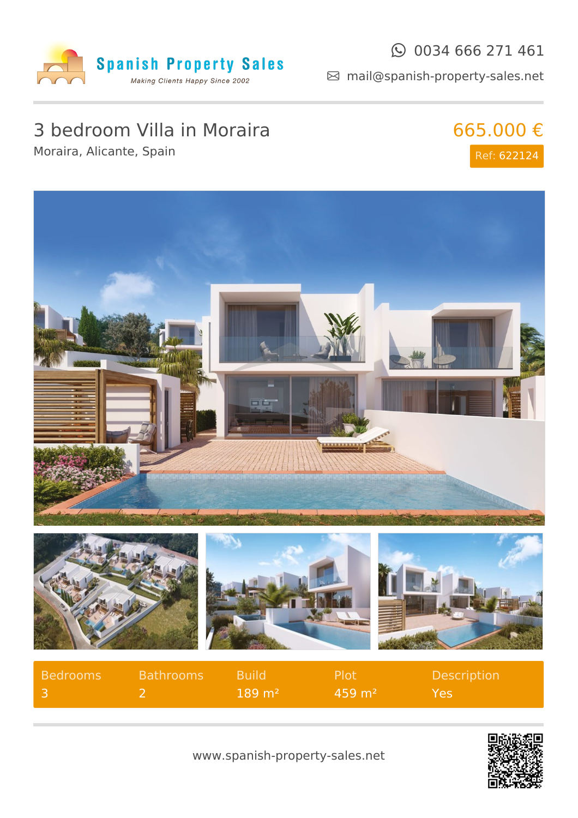

#### $\odot$  0034 666 271 461

mail@spanish-property-sales.net

# 3 bedroom Villa in Moraira

Moraira, Alicante, Spain

665.000 € Ref: 622124



| $189 \text{ m}^2$<br>$459 \text{ m}^2$<br>Yes. | Bedrooms | <b>Bathrooms</b> Build | <b>Plot</b> | <b>Description</b> |
|------------------------------------------------|----------|------------------------|-------------|--------------------|
|                                                |          |                        |             |                    |



www.spanish-property-sales.net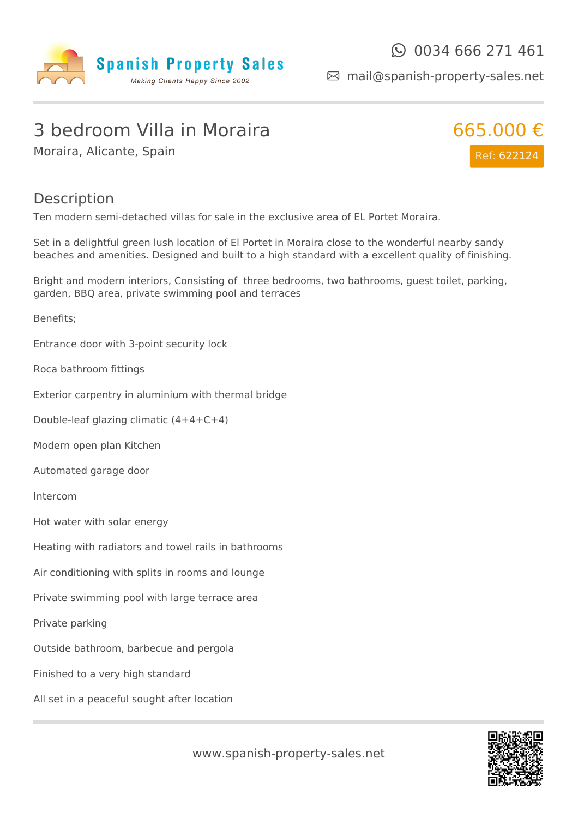

mail@spanish-property-sales.net

### 3 bedroom Villa in Moraira

Moraira, Alicante, Spain



#### Description

Ten modern semi-detached villas for sale in the exclusive area of EL Portet Moraira.

Set in a delightful green lush location of El Portet in Moraira close to the wonderful nearby sandy beaches and amenities. Designed and built to a high standard with a excellent quality of finishing.

Bright and modern interiors, Consisting of three bedrooms, two bathrooms, guest toilet, parking, garden, BBQ area, private swimming pool and terraces

Benefits;

Entrance door with 3-point security lock

Roca bathroom fittings

Exterior carpentry in aluminium with thermal bridge

Double-leaf glazing climatic (4+4+C+4)

Modern open plan Kitchen

Automated garage door

Intercom

Hot water with solar energy

Heating with radiators and towel rails in bathrooms

Air conditioning with splits in rooms and lounge

Private swimming pool with large terrace area

Private parking

Outside bathroom, barbecue and pergola

Finished to a very high standard

All set in a peaceful sought after location



www.spanish-property-sales.net